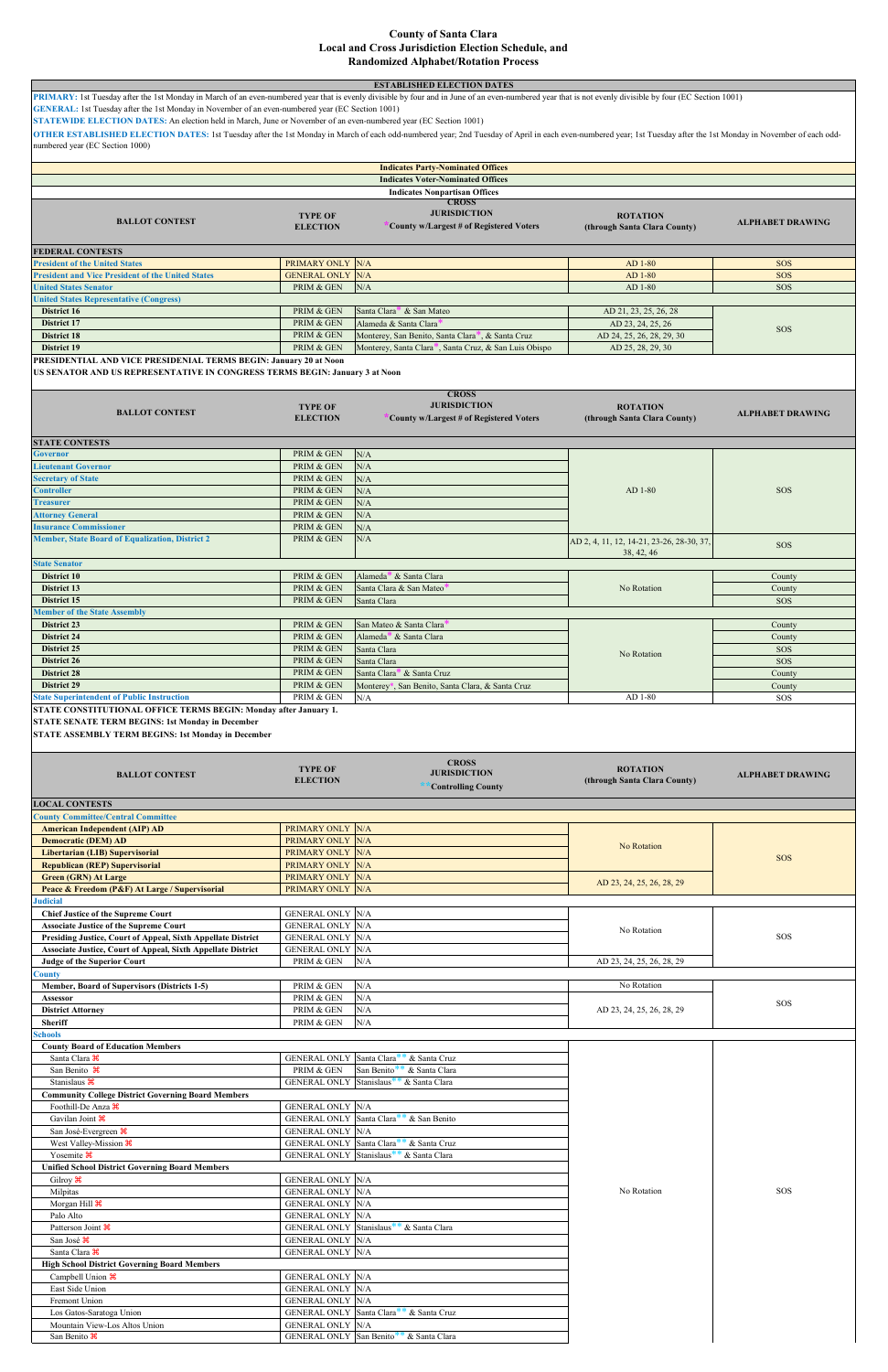| PRIMARY: 1st Tuesday after the 1st Monday in March of an even-numbered year that is evenly divisible by four and in June of an even-numbered year that is not evenly divisible by four (EC Section 1001)                                             |                                                    | <b>ESTABLISHED ELECTION DATES</b>                                                                         |                                                         |                          |
|------------------------------------------------------------------------------------------------------------------------------------------------------------------------------------------------------------------------------------------------------|----------------------------------------------------|-----------------------------------------------------------------------------------------------------------|---------------------------------------------------------|--------------------------|
| GENERAL: 1st Tuesday after the 1st Monday in November of an even-numbered year (EC Section 1001)<br>STATEWIDE ELECTION DATES: An election held in March, June or November of an even-numbered year (EC Section 1001)                                 |                                                    |                                                                                                           |                                                         |                          |
| OTHER ESTABLISHED ELECTION DATES: 1st Tuesday after the 1st Monday in March of each odd-numbered year; 2nd Tuesday of April in each even-numbered year; 1st Tuesday after the 1st Monday in November of each odd-<br>numbered year (EC Section 1000) |                                                    |                                                                                                           |                                                         |                          |
|                                                                                                                                                                                                                                                      |                                                    | <b>Indicates Party-Nominated Offices</b>                                                                  |                                                         |                          |
|                                                                                                                                                                                                                                                      |                                                    | <b>Indicates Voter-Nominated Offices</b>                                                                  |                                                         |                          |
|                                                                                                                                                                                                                                                      |                                                    | <b>Indicates Nonpartisan Offices</b><br><b>CROSS</b>                                                      |                                                         |                          |
| <b>BALLOT CONTEST</b>                                                                                                                                                                                                                                | <b>TYPE OF</b><br><b>ELECTION</b>                  | <b>JURISDICTION</b><br>County w/Largest # of Registered Voters                                            | <b>ROTATION</b><br>(through Santa Clara County)         | <b>ALPHABET DRAWING</b>  |
| <b>FEDERAL CONTESTS</b><br><b>President of the United States</b>                                                                                                                                                                                     | PRIMARY ONLY N/A                                   |                                                                                                           | AD 1-80                                                 | <b>SOS</b>               |
| <b>President and Vice President of the United States</b><br><b>United States Senator</b>                                                                                                                                                             | <b>GENERAL ONLY N/A</b><br>PRIM & GEN              | N/A                                                                                                       | AD 1-80<br>AD 1-80                                      | <b>SOS</b><br><b>SOS</b> |
| <b>United States Representative (Congress)</b>                                                                                                                                                                                                       |                                                    |                                                                                                           |                                                         |                          |
| District 16<br>District 17                                                                                                                                                                                                                           | PRIM & GEN<br>PRIM & GEN                           | Santa Clara <sup>*</sup> & San Mateo<br>Alameda & Santa Clara                                             | AD 21, 23, 25, 26, 28<br>AD 23, 24, 25, 26              | <b>SOS</b>               |
| District 18<br><b>District 19</b>                                                                                                                                                                                                                    | PRIM & GEN<br>PRIM & GEN                           | Monterey, San Benito, Santa Clara*, & Santa Cruz<br>Monterey, Santa Clara*, Santa Cruz, & San Luis Obispo | AD 24, 25, 26, 28, 29, 30<br>AD 25, 28, 29, 30          |                          |
| PRESIDENTIAL AND VICE PRESIDENIAL TERMS BEGIN: January 20 at Noon<br>US SENATOR AND US REPRESENTATIVE IN CONGRESS TERMS BEGIN: January 3 at Noon                                                                                                     |                                                    |                                                                                                           |                                                         |                          |
| <b>BALLOT CONTEST</b>                                                                                                                                                                                                                                | <b>TYPE OF</b><br><b>ELECTION</b>                  | <b>CROSS</b><br><b>JURISDICTION</b><br>County w/Largest # of Registered Voters                            | <b>ROTATION</b><br>(through Santa Clara County)         | <b>ALPHABET DRAWING</b>  |
| <b>STATE CONTESTS</b>                                                                                                                                                                                                                                | PRIM & GEN                                         |                                                                                                           |                                                         |                          |
| <b>Governor</b><br><b>Lieutenant Governor</b>                                                                                                                                                                                                        | PRIM & GEN                                         | N/A<br>N/A                                                                                                |                                                         |                          |
| <b>Secretary of State</b><br><b>Controller</b>                                                                                                                                                                                                       | PRIM & GEN<br>PRIM & GEN                           | N/A<br>N/A                                                                                                | AD 1-80                                                 | <b>SOS</b>               |
| <b>Treasurer</b>                                                                                                                                                                                                                                     | PRIM & GEN                                         | N/A                                                                                                       |                                                         |                          |
| <b>Attorney General</b><br><b>Insurance Commissioner</b>                                                                                                                                                                                             | PRIM & GEN<br>PRIM & GEN                           | N/A<br>N/A                                                                                                |                                                         |                          |
| <b>Member, State Board of Equalization, District 2</b>                                                                                                                                                                                               | PRIM & GEN                                         | N/A                                                                                                       | AD 2, 4, 11, 12, 14-21, 23-26, 28-30, 37,<br>38, 42, 46 | <b>SOS</b>               |
| <b>State Senator</b><br>District 10                                                                                                                                                                                                                  | PRIM & GEN                                         | Alameda <sup>*</sup> & Santa Clara                                                                        |                                                         | County                   |
| District 13<br>District 15                                                                                                                                                                                                                           | PRIM & GEN<br>PRIM & GEN                           | Santa Clara & San Mateo<br>Santa Clara                                                                    | No Rotation                                             | County<br><b>SOS</b>     |
| <b>Member of the State Assembly</b>                                                                                                                                                                                                                  |                                                    |                                                                                                           |                                                         |                          |
| District 23<br><b>District 24</b>                                                                                                                                                                                                                    | PRIM & GEN<br>PRIM & GEN                           | San Mateo & Santa Clara<br>Alameda <sup>*</sup> & Santa Clara                                             |                                                         | County<br>County         |
| <b>District 25</b>                                                                                                                                                                                                                                   | PRIM & GEN                                         | Santa Clara                                                                                               | No Rotation                                             | <b>SOS</b>               |
| District 26<br>District 28                                                                                                                                                                                                                           | PRIM & GEN<br>PRIM & GEN                           | Santa Clara<br>Santa Clara <sup>*</sup> & Santa Cruz                                                      |                                                         | <b>SOS</b><br>County     |
| <b>District 29</b><br><b>State Superintendent of Public Instruction</b>                                                                                                                                                                              | PRIM & GEN<br>PRIM & GEN                           | Monterey*, San Benito, Santa Clara, & Santa Cruz<br>N/A                                                   | AD 1-80                                                 | County<br>SOS            |
| <b>STATE CONSTITUTIONAL OFFICE TERMS BEGIN: Monday after January 1.</b><br><b>STATE SENATE TERM BEGINS: 1st Monday in December</b><br><b>STATE ASSEMBLY TERM BEGINS: 1st Monday in December</b>                                                      |                                                    |                                                                                                           |                                                         |                          |
| <b>BALLOT CONTEST</b>                                                                                                                                                                                                                                | <b>TYPE OF</b><br><b>ELECTION</b>                  | <b>CROSS</b><br><b>JURISDICTION</b><br><b>Controlling County</b>                                          | <b>ROTATION</b><br>(through Santa Clara County)         | <b>ALPHABET DRAWING</b>  |
| <b>LOCAL CONTESTS</b><br><b>County Committee/Central Committee</b>                                                                                                                                                                                   |                                                    |                                                                                                           |                                                         |                          |
| <b>American Independent (AIP) AD</b>                                                                                                                                                                                                                 | PRIMARY ONLY N/A                                   |                                                                                                           |                                                         |                          |
| <b>Democratic (DEM) AD</b><br>Libertarian (LIB) Supervisorial                                                                                                                                                                                        | PRIMARY ONLY N/A<br>PRIMARY ONLY N/A               |                                                                                                           | No Rotation                                             |                          |
| <b>Republican (REP) Supervisorial</b>                                                                                                                                                                                                                | PRIMARY ONLY N/A<br>PRIMARY ONLY N/A               |                                                                                                           |                                                         | <b>SOS</b>               |
| <b>Green (GRN) At Large</b><br>Peace & Freedom (P&F) At Large / Supervisorial<br><b>Judicial</b>                                                                                                                                                     | PRIMARY ONLY N/A                                   |                                                                                                           | AD 23, 24, 25, 26, 28, 29                               |                          |
| <b>Chief Justice of the Supreme Court</b>                                                                                                                                                                                                            | <b>GENERAL ONLY N/A</b>                            |                                                                                                           |                                                         |                          |
| <b>Associate Justice of the Supreme Court</b><br>Presiding Justice, Court of Appeal, Sixth Appellate District                                                                                                                                        | <b>GENERAL ONLY N/A</b><br><b>GENERAL ONLY N/A</b> |                                                                                                           | No Rotation                                             | SOS                      |
| Associate Justice, Court of Appeal, Sixth Appellate District<br><b>Judge of the Superior Court</b>                                                                                                                                                   | <b>GENERAL ONLY N/A</b><br>PRIM & GEN              | N/A                                                                                                       | AD 23, 24, 25, 26, 28, 29                               |                          |
| County<br>Member, Board of Supervisors (Districts 1-5)                                                                                                                                                                                               | PRIM & GEN                                         | N/A                                                                                                       | No Rotation                                             |                          |
| Assessor<br><b>District Attorney</b>                                                                                                                                                                                                                 | PRIM & GEN<br>PRIM & GEN                           | N/A<br>N/A                                                                                                | AD 23, 24, 25, 26, 28, 29                               | SOS                      |
| <b>Sheriff</b>                                                                                                                                                                                                                                       | PRIM & GEN                                         | N/A                                                                                                       |                                                         |                          |
| <b>Schools</b><br><b>County Board of Education Members</b>                                                                                                                                                                                           |                                                    |                                                                                                           |                                                         |                          |
| Santa Clara $\mathcal{H}$<br>San Benito $\mathcal{H}$                                                                                                                                                                                                | <b>GENERAL ONLY Santa Clara</b><br>PRIM & GEN      | & Santa Cruz<br>San Benito <sup>*</sup><br>& Santa Clara                                                  |                                                         |                          |
| Stanislaus <sup>86</sup>                                                                                                                                                                                                                             |                                                    |                                                                                                           |                                                         |                          |
|                                                                                                                                                                                                                                                      |                                                    | GENERAL ONLY Stanislaus <sup>**</sup> & Santa Clara                                                       |                                                         |                          |
| <b>Community College District Governing Board Members</b><br>Foothill-De Anza $\mathcal H$                                                                                                                                                           | <b>GENERAL ONLY N/A</b>                            |                                                                                                           |                                                         |                          |
| Gavilan Joint &                                                                                                                                                                                                                                      |                                                    | GENERAL ONLY Santa Clara <sup>**</sup> & San Benito                                                       |                                                         |                          |
| San José-Evergreen $\mathcal H$<br>West Valley-Mission $\frac{4}{5}$                                                                                                                                                                                 | <b>GENERAL ONLY N/A</b>                            | GENERAL ONLY Santa Clara <sup>**</sup> & Santa Cruz                                                       |                                                         |                          |
| Yosemite $\mathcal{H}$<br><b>Unified School District Governing Board Members</b>                                                                                                                                                                     |                                                    | GENERAL ONLY Stanislaus <sup>**</sup> & Santa Clara                                                       |                                                         |                          |
| Gilroy $\mathcal{H}$                                                                                                                                                                                                                                 | <b>GENERAL ONLY N/A</b>                            |                                                                                                           |                                                         |                          |
| Milpitas<br>Morgan Hill <sup>36</sup>                                                                                                                                                                                                                | <b>GENERAL ONLY N/A</b><br><b>GENERAL ONLY N/A</b> |                                                                                                           | No Rotation                                             | SOS                      |
| Palo Alto                                                                                                                                                                                                                                            | <b>GENERAL ONLY N/A</b>                            |                                                                                                           |                                                         |                          |
| Patterson Joint <sup>36</sup><br>San José <sup>36</sup>                                                                                                                                                                                              | <b>GENERAL ONLY N/A</b>                            | GENERAL ONLY Stanislaus <sup>**</sup> & Santa Clara                                                       |                                                         |                          |
| Santa Clara $\mathcal{H}$<br><b>High School District Governing Board Members</b>                                                                                                                                                                     | <b>GENERAL ONLY N/A</b>                            |                                                                                                           |                                                         |                          |
| Campbell Union $\mathcal{H}$<br>East Side Union                                                                                                                                                                                                      | <b>GENERAL ONLY N/A</b><br><b>GENERAL ONLY N/A</b> |                                                                                                           |                                                         |                          |
| Fremont Union                                                                                                                                                                                                                                        | <b>GENERAL ONLY N/A</b>                            |                                                                                                           |                                                         |                          |
| Los Gatos-Saratoga Union<br>Mountain View-Los Altos Union                                                                                                                                                                                            | <b>GENERAL ONLY N/A</b>                            | GENERAL ONLY Santa Clara <sup>**</sup> & Santa Cruz                                                       |                                                         |                          |

## **County of Santa Clara Local and Cross Jurisdiction Election Schedule, and Randomized Alphabet/Rotation Process**